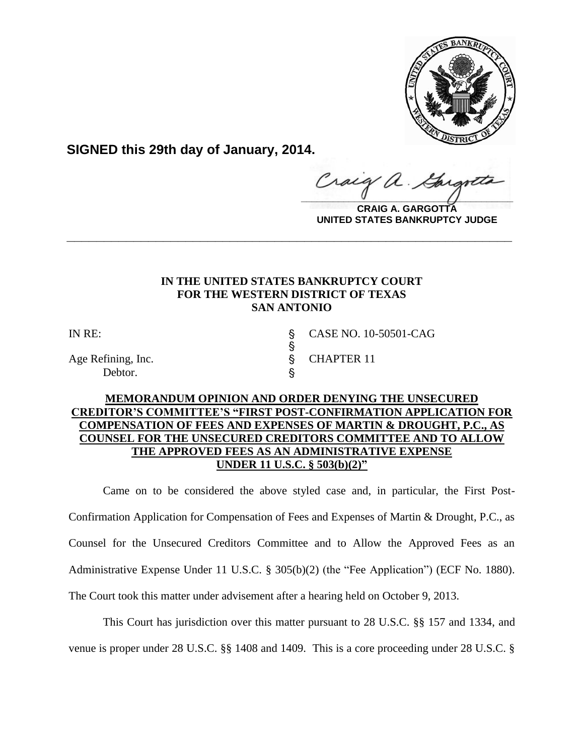

**SIGNED this 29th day of January, 2014.**

 $\frac{1}{2}$ 

**CRAIG A. GARGOTTA UNITED STATES BANKRUPTCY JUDGE**

# **IN THE UNITED STATES BANKRUPTCY COURT FOR THE WESTERN DISTRICT OF TEXAS SAN ANTONIO**

**\_\_\_\_\_\_\_\_\_\_\_\_\_\_\_\_\_\_\_\_\_\_\_\_\_\_\_\_\_\_\_\_\_\_\_\_\_\_\_\_\_\_\_\_\_\_\_\_\_\_\_\_\_\_\_\_\_\_\_\_**

 $\S$ 

Age Refining, Inc. S CHAPTER 11 Debtor.

IN RE: \$ CASE NO. 10-50501-CAG

# **MEMORANDUM OPINION AND ORDER DENYING THE UNSECURED CREDITOR'S COMMITTEE'S "FIRST POST-CONFIRMATION APPLICATION FOR COMPENSATION OF FEES AND EXPENSES OF MARTIN & DROUGHT, P.C., AS COUNSEL FOR THE UNSECURED CREDITORS COMMITTEE AND TO ALLOW THE APPROVED FEES AS AN ADMINISTRATIVE EXPENSE UNDER 11 U.S.C. § 503(b)(2)"**

Came on to be considered the above styled case and, in particular, the First Post-Confirmation Application for Compensation of Fees and Expenses of Martin & Drought, P.C., as Counsel for the Unsecured Creditors Committee and to Allow the Approved Fees as an Administrative Expense Under 11 U.S.C. § 305(b)(2) (the "Fee Application") (ECF No. 1880). The Court took this matter under advisement after a hearing held on October 9, 2013.

This Court has jurisdiction over this matter pursuant to 28 U.S.C. §§ 157 and 1334, and venue is proper under 28 U.S.C. §§ 1408 and 1409. This is a core proceeding under 28 U.S.C. §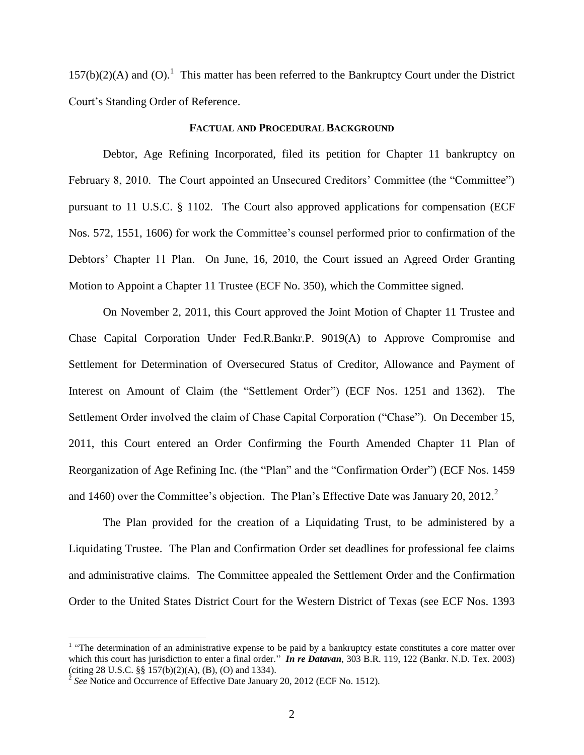$157(b)(2)(A)$  and (O).<sup>1</sup> This matter has been referred to the Bankruptcy Court under the District Court's Standing Order of Reference.

#### **FACTUAL AND PROCEDURAL BACKGROUND**

Debtor, Age Refining Incorporated, filed its petition for Chapter 11 bankruptcy on February 8, 2010. The Court appointed an Unsecured Creditors' Committee (the "Committee") pursuant to 11 U.S.C. § 1102. The Court also approved applications for compensation (ECF Nos. 572, 1551, 1606) for work the Committee's counsel performed prior to confirmation of the Debtors' Chapter 11 Plan. On June, 16, 2010, the Court issued an Agreed Order Granting Motion to Appoint a Chapter 11 Trustee (ECF No. 350), which the Committee signed.

On November 2, 2011, this Court approved the Joint Motion of Chapter 11 Trustee and Chase Capital Corporation Under Fed.R.Bankr.P. 9019(A) to Approve Compromise and Settlement for Determination of Oversecured Status of Creditor, Allowance and Payment of Interest on Amount of Claim (the "Settlement Order") (ECF Nos. 1251 and 1362). The Settlement Order involved the claim of Chase Capital Corporation ("Chase"). On December 15, 2011, this Court entered an Order Confirming the Fourth Amended Chapter 11 Plan of Reorganization of Age Refining Inc. (the "Plan" and the "Confirmation Order") (ECF Nos. 1459 and 1460) over the Committee's objection. The Plan's Effective Date was January 20, 2012.<sup>2</sup>

The Plan provided for the creation of a Liquidating Trust, to be administered by a Liquidating Trustee. The Plan and Confirmation Order set deadlines for professional fee claims and administrative claims. The Committee appealed the Settlement Order and the Confirmation Order to the United States District Court for the Western District of Texas (see ECF Nos. 1393

 $\overline{\phantom{a}}$ 

<sup>&</sup>lt;sup>1</sup> "The determination of an administrative expense to be paid by a bankruptcy estate constitutes a core matter over which this court has jurisdiction to enter a final order." **In re Datavan**, 303 B.R. 119, 122 (Bankr. N.D. Tex. 2003) (citing 28 U.S.C. §§ 157(b)(2)(A), (B), (O) and 1334).

<sup>&</sup>lt;sup>2</sup> See Notice and Occurrence of Effective Date January 20, 2012 (ECF No. 1512).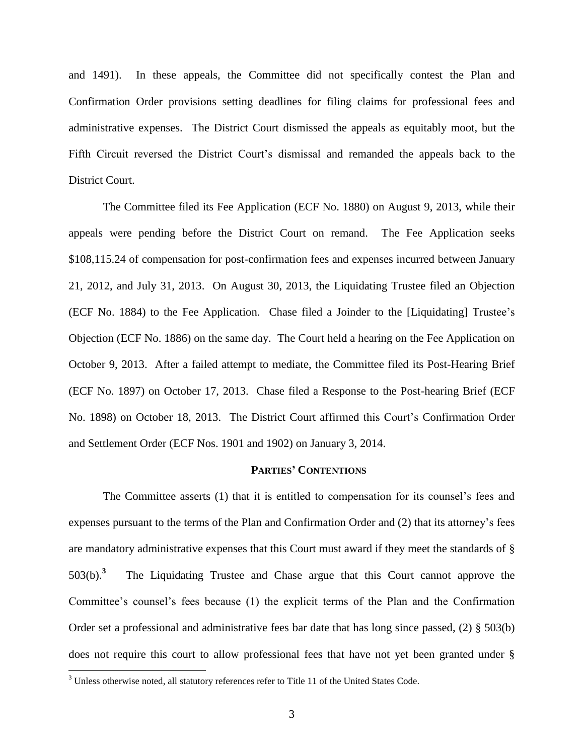and 1491). In these appeals, the Committee did not specifically contest the Plan and Confirmation Order provisions setting deadlines for filing claims for professional fees and administrative expenses. The District Court dismissed the appeals as equitably moot, but the Fifth Circuit reversed the District Court's dismissal and remanded the appeals back to the District Court.

The Committee filed its Fee Application (ECF No. 1880) on August 9, 2013, while their appeals were pending before the District Court on remand. The Fee Application seeks \$108,115.24 of compensation for post-confirmation fees and expenses incurred between January 21, 2012, and July 31, 2013. On August 30, 2013, the Liquidating Trustee filed an Objection (ECF No. 1884) to the Fee Application. Chase filed a Joinder to the [Liquidating] Trustee's Objection (ECF No. 1886) on the same day. The Court held a hearing on the Fee Application on October 9, 2013. After a failed attempt to mediate, the Committee filed its Post-Hearing Brief (ECF No. 1897) on October 17, 2013. Chase filed a Response to the Post-hearing Brief (ECF No. 1898) on October 18, 2013. The District Court affirmed this Court's Confirmation Order and Settlement Order (ECF Nos. 1901 and 1902) on January 3, 2014.

#### **PARTIES' CONTENTIONS**

The Committee asserts (1) that it is entitled to compensation for its counsel's fees and expenses pursuant to the terms of the Plan and Confirmation Order and (2) that its attorney's fees are mandatory administrative expenses that this Court must award if they meet the standards of § 503(b).**<sup>3</sup>** The Liquidating Trustee and Chase argue that this Court cannot approve the Committee's counsel's fees because (1) the explicit terms of the Plan and the Confirmation Order set a professional and administrative fees bar date that has long since passed, (2) § 503(b) does not require this court to allow professional fees that have not yet been granted under §

l

 $3$  Unless otherwise noted, all statutory references refer to Title 11 of the United States Code.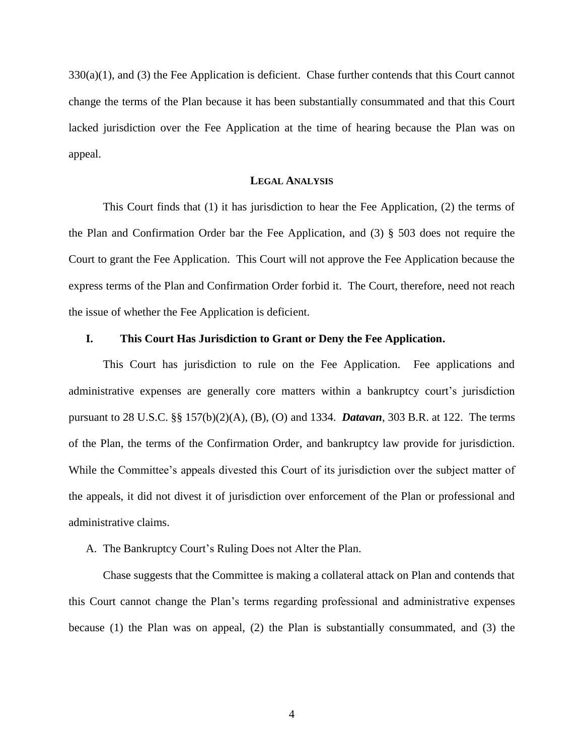$330(a)(1)$ , and (3) the Fee Application is deficient. Chase further contends that this Court cannot change the terms of the Plan because it has been substantially consummated and that this Court lacked jurisdiction over the Fee Application at the time of hearing because the Plan was on appeal.

### **LEGAL ANALYSIS**

 This Court finds that (1) it has jurisdiction to hear the Fee Application, (2) the terms of the Plan and Confirmation Order bar the Fee Application, and (3) § 503 does not require the Court to grant the Fee Application. This Court will not approve the Fee Application because the express terms of the Plan and Confirmation Order forbid it. The Court, therefore, need not reach the issue of whether the Fee Application is deficient.

### **I. This Court Has Jurisdiction to Grant or Deny the Fee Application.**

This Court has jurisdiction to rule on the Fee Application. Fee applications and administrative expenses are generally core matters within a bankruptcy court's jurisdiction pursuant to 28 U.S.C. §§ 157(b)(2)(A), (B), (O) and 1334. *Datavan*, 303 B.R. at 122. The terms of the Plan, the terms of the Confirmation Order, and bankruptcy law provide for jurisdiction. While the Committee's appeals divested this Court of its jurisdiction over the subject matter of the appeals, it did not divest it of jurisdiction over enforcement of the Plan or professional and administrative claims.

#### A. The Bankruptcy Court's Ruling Does not Alter the Plan.

Chase suggests that the Committee is making a collateral attack on Plan and contends that this Court cannot change the Plan's terms regarding professional and administrative expenses because (1) the Plan was on appeal, (2) the Plan is substantially consummated, and (3) the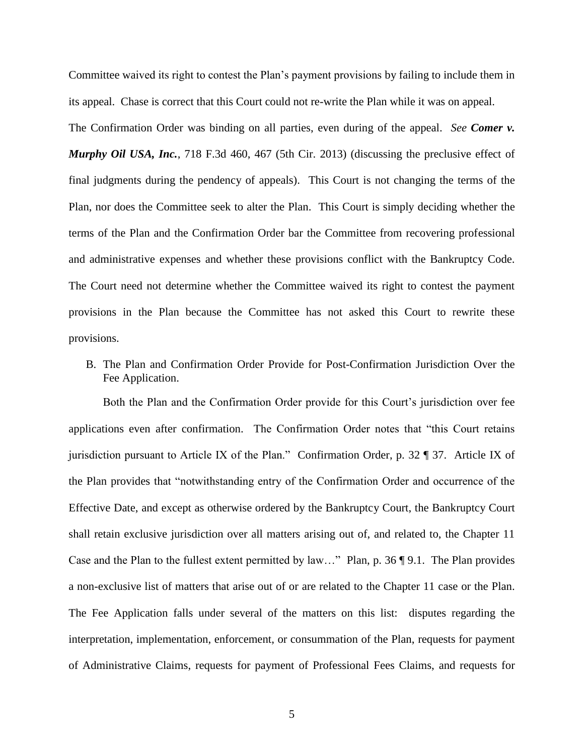Committee waived its right to contest the Plan's payment provisions by failing to include them in its appeal. Chase is correct that this Court could not re-write the Plan while it was on appeal.

The Confirmation Order was binding on all parties, even during of the appeal. *See Comer v. Murphy Oil USA, Inc.*, 718 F.3d 460, 467 (5th Cir. 2013) (discussing the preclusive effect of final judgments during the pendency of appeals). This Court is not changing the terms of the Plan, nor does the Committee seek to alter the Plan. This Court is simply deciding whether the terms of the Plan and the Confirmation Order bar the Committee from recovering professional and administrative expenses and whether these provisions conflict with the Bankruptcy Code. The Court need not determine whether the Committee waived its right to contest the payment provisions in the Plan because the Committee has not asked this Court to rewrite these provisions.

B. The Plan and Confirmation Order Provide for Post-Confirmation Jurisdiction Over the Fee Application.

Both the Plan and the Confirmation Order provide for this Court's jurisdiction over fee applications even after confirmation. The Confirmation Order notes that "this Court retains jurisdiction pursuant to Article IX of the Plan." Confirmation Order, p. 32 ¶ 37. Article IX of the Plan provides that "notwithstanding entry of the Confirmation Order and occurrence of the Effective Date, and except as otherwise ordered by the Bankruptcy Court, the Bankruptcy Court shall retain exclusive jurisdiction over all matters arising out of, and related to, the Chapter 11 Case and the Plan to the fullest extent permitted by law…" Plan, p. 36 ¶ 9.1. The Plan provides a non-exclusive list of matters that arise out of or are related to the Chapter 11 case or the Plan. The Fee Application falls under several of the matters on this list: disputes regarding the interpretation, implementation, enforcement, or consummation of the Plan, requests for payment of Administrative Claims, requests for payment of Professional Fees Claims, and requests for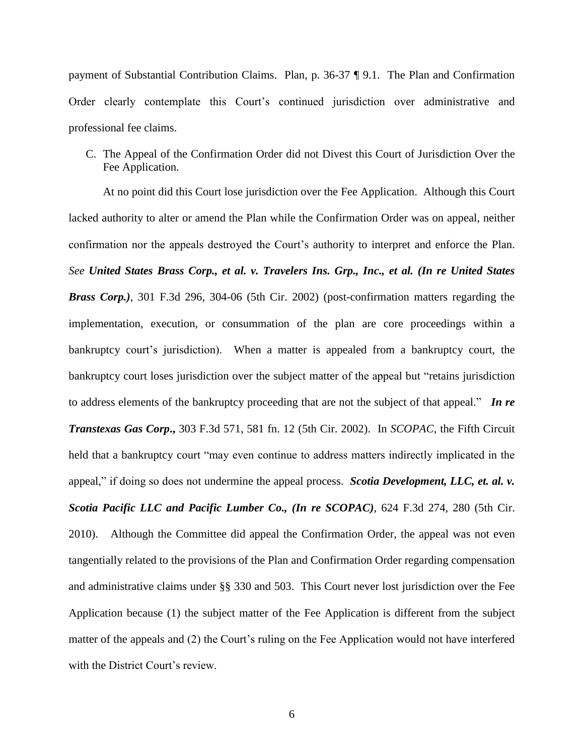payment of Substantial Contribution Claims. Plan, p. 36-37 ¶ 9.1. The Plan and Confirmation Order clearly contemplate this Court's continued jurisdiction over administrative and professional fee claims.

C. The Appeal of the Confirmation Order did not Divest this Court of Jurisdiction Over the Fee Application.

At no point did this Court lose jurisdiction over the Fee Application. Although this Court lacked authority to alter or amend the Plan while the Confirmation Order was on appeal, neither confirmation nor the appeals destroyed the Court's authority to interpret and enforce the Plan. *See United States Brass Corp., et al. v. Travelers Ins. Grp., Inc., et al. (In re United States Brass Corp.)*, 301 F.3d 296, 304-06 (5th Cir. 2002) (post-confirmation matters regarding the implementation, execution, or consummation of the plan are core proceedings within a bankruptcy court's jurisdiction). When a matter is appealed from a bankruptcy court, the bankruptcy court loses jurisdiction over the subject matter of the appeal but "retains jurisdiction to address elements of the bankruptcy proceeding that are not the subject of that appeal." *In re Transtexas Gas Corp***.,** 303 F.3d 571, 581 fn. 12 (5th Cir. 2002). In *SCOPAC*, the Fifth Circuit held that a bankruptcy court "may even continue to address matters indirectly implicated in the appeal," if doing so does not undermine the appeal process. *Scotia Development, LLC, et. al. v. Scotia Pacific LLC and Pacific Lumber Co., (In re SCOPAC)*, 624 F.3d 274, 280 (5th Cir. 2010). Although the Committee did appeal the Confirmation Order, the appeal was not even tangentially related to the provisions of the Plan and Confirmation Order regarding compensation and administrative claims under §§ 330 and 503. This Court never lost jurisdiction over the Fee Application because (1) the subject matter of the Fee Application is different from the subject matter of the appeals and (2) the Court's ruling on the Fee Application would not have interfered with the District Court's review.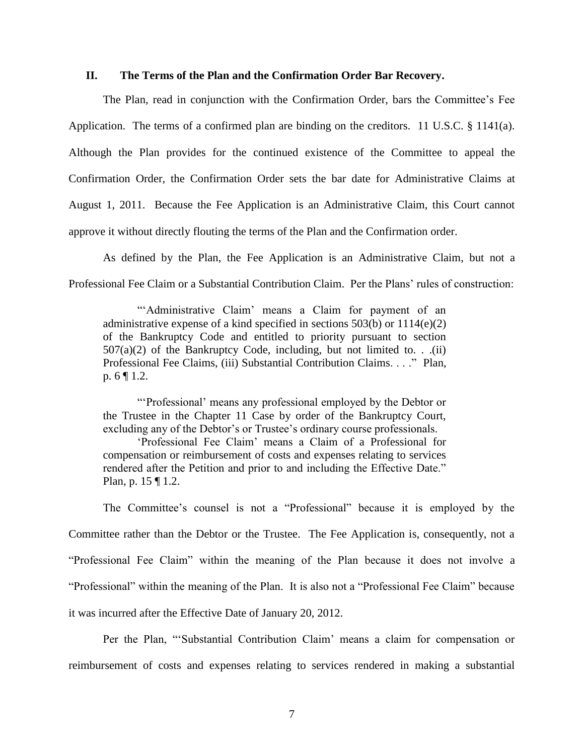## **II. The Terms of the Plan and the Confirmation Order Bar Recovery.**

The Plan, read in conjunction with the Confirmation Order, bars the Committee's Fee Application. The terms of a confirmed plan are binding on the creditors. 11 U.S.C. § 1141(a). Although the Plan provides for the continued existence of the Committee to appeal the Confirmation Order, the Confirmation Order sets the bar date for Administrative Claims at August 1, 2011. Because the Fee Application is an Administrative Claim, this Court cannot approve it without directly flouting the terms of the Plan and the Confirmation order.

 As defined by the Plan, the Fee Application is an Administrative Claim, but not a Professional Fee Claim or a Substantial Contribution Claim. Per the Plans' rules of construction:

"'Administrative Claim' means a Claim for payment of an administrative expense of a kind specified in sections 503(b) or 1114(e)(2) of the Bankruptcy Code and entitled to priority pursuant to section  $507(a)(2)$  of the Bankruptcy Code, including, but not limited to. . .(ii) Professional Fee Claims, (iii) Substantial Contribution Claims. . . ." Plan, p. 6 ¶ 1.2.

"'Professional' means any professional employed by the Debtor or the Trustee in the Chapter 11 Case by order of the Bankruptcy Court, excluding any of the Debtor's or Trustee's ordinary course professionals.

'Professional Fee Claim' means a Claim of a Professional for compensation or reimbursement of costs and expenses relating to services rendered after the Petition and prior to and including the Effective Date." Plan, p. 15 ¶ 1.2.

The Committee's counsel is not a "Professional" because it is employed by the Committee rather than the Debtor or the Trustee. The Fee Application is, consequently, not a "Professional Fee Claim" within the meaning of the Plan because it does not involve a "Professional" within the meaning of the Plan. It is also not a "Professional Fee Claim" because it was incurred after the Effective Date of January 20, 2012.

Per the Plan, "'Substantial Contribution Claim' means a claim for compensation or reimbursement of costs and expenses relating to services rendered in making a substantial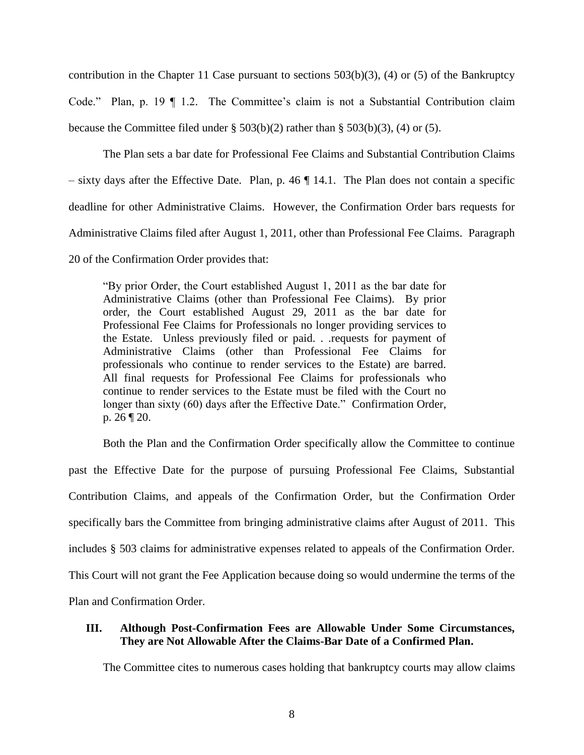contribution in the Chapter 11 Case pursuant to sections 503(b)(3), (4) or (5) of the Bankruptcy Code." Plan, p. 19 ¶ 1.2. The Committee's claim is not a Substantial Contribution claim because the Committee filed under  $\S 503(b)(2)$  rather than  $\S 503(b)(3)$ , (4) or (5).

The Plan sets a bar date for Professional Fee Claims and Substantial Contribution Claims  $-$  sixty days after the Effective Date. Plan, p. 46  $\P$  14.1. The Plan does not contain a specific deadline for other Administrative Claims. However, the Confirmation Order bars requests for Administrative Claims filed after August 1, 2011, other than Professional Fee Claims. Paragraph 20 of the Confirmation Order provides that:

"By prior Order, the Court established August 1, 2011 as the bar date for Administrative Claims (other than Professional Fee Claims). By prior order, the Court established August 29, 2011 as the bar date for Professional Fee Claims for Professionals no longer providing services to the Estate. Unless previously filed or paid. . .requests for payment of Administrative Claims (other than Professional Fee Claims for professionals who continue to render services to the Estate) are barred. All final requests for Professional Fee Claims for professionals who continue to render services to the Estate must be filed with the Court no longer than sixty (60) days after the Effective Date." Confirmation Order, p. 26 ¶ 20.

Both the Plan and the Confirmation Order specifically allow the Committee to continue past the Effective Date for the purpose of pursuing Professional Fee Claims, Substantial Contribution Claims, and appeals of the Confirmation Order, but the Confirmation Order specifically bars the Committee from bringing administrative claims after August of 2011. This includes § 503 claims for administrative expenses related to appeals of the Confirmation Order. This Court will not grant the Fee Application because doing so would undermine the terms of the Plan and Confirmation Order.

## **III. Although Post-Confirmation Fees are Allowable Under Some Circumstances, They are Not Allowable After the Claims-Bar Date of a Confirmed Plan.**

The Committee cites to numerous cases holding that bankruptcy courts may allow claims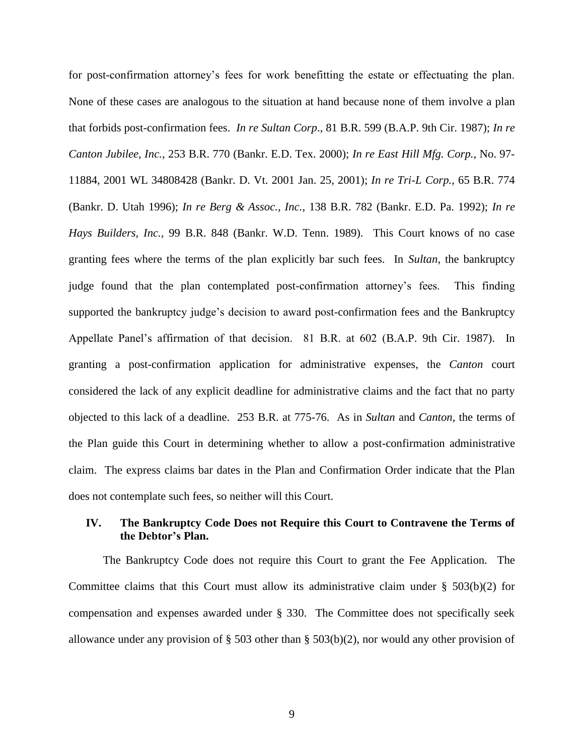for post-confirmation attorney's fees for work benefitting the estate or effectuating the plan. None of these cases are analogous to the situation at hand because none of them involve a plan that forbids post-confirmation fees. *In re Sultan Corp*., 81 B.R. 599 (B.A.P. 9th Cir. 1987); *In re Canton Jubilee, Inc.*, 253 B.R. 770 (Bankr. E.D. Tex. 2000); *In re East Hill Mfg. Corp.*, No. 97- 11884, 2001 WL 34808428 (Bankr. D. Vt. 2001 Jan. 25, 2001); *In re Tri-L Corp.*, 65 B.R. 774 (Bankr. D. Utah 1996); *In re Berg & Assoc., Inc.*, 138 B.R. 782 (Bankr. E.D. Pa. 1992); *In re Hays Builders, Inc.,* 99 B.R. 848 (Bankr. W.D. Tenn. 1989). This Court knows of no case granting fees where the terms of the plan explicitly bar such fees. In *Sultan*, the bankruptcy judge found that the plan contemplated post-confirmation attorney's fees. This finding supported the bankruptcy judge's decision to award post-confirmation fees and the Bankruptcy Appellate Panel's affirmation of that decision. 81 B.R. at 602 (B.A.P. 9th Cir. 1987). In granting a post-confirmation application for administrative expenses, the *Canton* court considered the lack of any explicit deadline for administrative claims and the fact that no party objected to this lack of a deadline. 253 B.R. at 775-76. As in *Sultan* and *Canton*, the terms of the Plan guide this Court in determining whether to allow a post-confirmation administrative claim. The express claims bar dates in the Plan and Confirmation Order indicate that the Plan does not contemplate such fees, so neither will this Court.

# **IV. The Bankruptcy Code Does not Require this Court to Contravene the Terms of the Debtor's Plan.**

The Bankruptcy Code does not require this Court to grant the Fee Application. The Committee claims that this Court must allow its administrative claim under  $\S$  503(b)(2) for compensation and expenses awarded under § 330. The Committee does not specifically seek allowance under any provision of § 503 other than § 503(b)(2), nor would any other provision of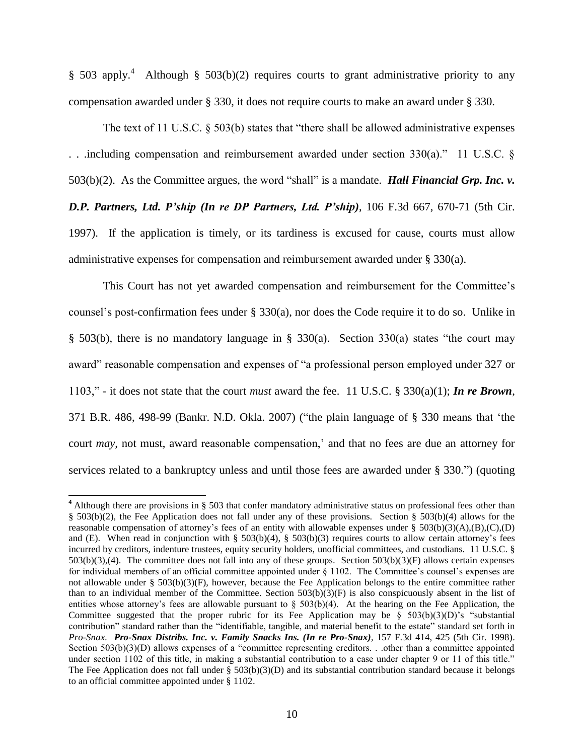§ 503 apply.<sup>4</sup> Although § 503(b)(2) requires courts to grant administrative priority to any compensation awarded under § 330, it does not require courts to make an award under § 330.

The text of 11 U.S.C. § 503(b) states that "there shall be allowed administrative expenses . . .including compensation and reimbursement awarded under section 330(a)." 11 U.S.C. § 503(b)(2). As the Committee argues, the word "shall" is a mandate. *Hall Financial Grp. Inc. v. D.P. Partners, Ltd. P'ship (In re DP Partners, Ltd. P'ship)*, 106 F.3d 667, 670-71 (5th Cir. 1997). If the application is timely, or its tardiness is excused for cause, courts must allow administrative expenses for compensation and reimbursement awarded under § 330(a).

This Court has not yet awarded compensation and reimbursement for the Committee's counsel's post-confirmation fees under § 330(a), nor does the Code require it to do so. Unlike in § 503(b), there is no mandatory language in § 330(a). Section 330(a) states "the court may award" reasonable compensation and expenses of "a professional person employed under 327 or 1103," - it does not state that the court *must* award the fee. 11 U.S.C. § 330(a)(1); *In re Brown*, 371 B.R. 486, 498-99 (Bankr. N.D. Okla. 2007) ("the plain language of § 330 means that 'the court *may,* not must, award reasonable compensation,' and that no fees are due an attorney for services related to a bankruptcy unless and until those fees are awarded under § 330.") (quoting

 $\overline{\phantom{a}}$ 

**<sup>4</sup>** Although there are provisions in § 503 that confer mandatory administrative status on professional fees other than § 503(b)(2), the Fee Application does not fall under any of these provisions. Section § 503(b)(4) allows for the reasonable compensation of attorney's fees of an entity with allowable expenses under §  $503(b)(3)(A)(B)(C)(D)$ and (E). When read in conjunction with §  $503(b)(4)$ , §  $503(b)(3)$  requires courts to allow certain attorney's fees incurred by creditors, indenture trustees, equity security holders, unofficial committees, and custodians. 11 U.S.C. § 503(b)(3),(4). The committee does not fall into any of these groups. Section 503(b)(3)(F) allows certain expenses for individual members of an official committee appointed under § 1102. The Committee's counsel's expenses are not allowable under § 503(b)(3)(F), however, because the Fee Application belongs to the entire committee rather than to an individual member of the Committee. Section  $503(b)(3)(F)$  is also conspicuously absent in the list of entities whose attorney's fees are allowable pursuant to  $\S$  503(b)(4). At the hearing on the Fee Application, the Committee suggested that the proper rubric for its Fee Application may be  $\S$  503(b)(3)(D)'s "substantial contribution" standard rather than the "identifiable, tangible, and material benefit to the estate" standard set forth in *Pro-Snax*. *Pro-Snax Distribs. Inc. v. Family Snacks Ins. (In re Pro-Snax)*, 157 F.3d 414, 425 (5th Cir. 1998). Section  $503(b)(3)(D)$  allows expenses of a "committee representing creditors. . .other than a committee appointed under section 1102 of this title, in making a substantial contribution to a case under chapter 9 or 11 of this title." The Fee Application does not fall under  $\S 503(b)(3)(D)$  and its substantial contribution standard because it belongs to an official committee appointed under § 1102.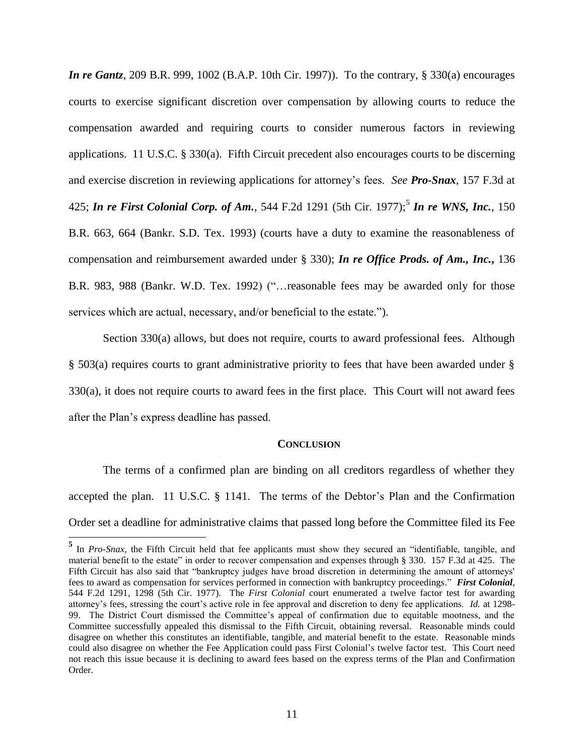*In re Gantz*, 209 B.R. 999, 1002 (B.A.P. 10th Cir. 1997)). To the contrary, § 330(a) encourages courts to exercise significant discretion over compensation by allowing courts to reduce the compensation awarded and requiring courts to consider numerous factors in reviewing applications. 11 U.S.C.  $\S 330(a)$ . Fifth Circuit precedent also encourages courts to be discerning and exercise discretion in reviewing applications for attorney's fees. *See Pro-Snax*, 157 F.3d at 425; *In re First Colonial Corp. of Am.*, 544 F.2d 1291 (5th Cir. 1977);<sup>5</sup> *In re WNS, Inc.*, 150 B.R. 663, 664 (Bankr. S.D. Tex. 1993) (courts have a duty to examine the reasonableness of compensation and reimbursement awarded under § 330); *In re Office Prods. of Am., Inc.***,** 136 B.R. 983, 988 (Bankr. W.D. Tex. 1992) ("…reasonable fees may be awarded only for those services which are actual, necessary, and/or beneficial to the estate.").

Section 330(a) allows, but does not require, courts to award professional fees. Although § 503(a) requires courts to grant administrative priority to fees that have been awarded under § 330(a), it does not require courts to award fees in the first place. This Court will not award fees after the Plan's express deadline has passed.

#### **CONCLUSION**

The terms of a confirmed plan are binding on all creditors regardless of whether they accepted the plan. 11 U.S.C. § 1141. The terms of the Debtor's Plan and the Confirmation Order set a deadline for administrative claims that passed long before the Committee filed its Fee

<sup>&</sup>lt;sup>5</sup> In *Pro-Snax*, the Fifth Circuit held that fee applicants must show they secured an "identifiable, tangible, and material benefit to the estate" in order to recover compensation and expenses through § 330. 157 F.3d at 425. The Fifth Circuit has also said that "bankruptcy judges have broad discretion in determining the amount of attorneys' fees to award as compensation for services performed in connection with bankruptcy proceedings." *First Colonial*, 544 F.2d 1291, 1298 (5th Cir. 1977). The *First Colonial* court enumerated a twelve factor test for awarding attorney's fees, stressing the court's active role in fee approval and discretion to deny fee applications. *Id.* at 1298- 99. The District Court dismissed the Committee's appeal of confirmation due to equitable mootness, and the Committee successfully appealed this dismissal to the Fifth Circuit, obtaining reversal. Reasonable minds could disagree on whether this constitutes an identifiable, tangible, and material benefit to the estate. Reasonable minds could also disagree on whether the Fee Application could pass First Colonial's twelve factor test. This Court need not reach this issue because it is declining to award fees based on the express terms of the Plan and Confirmation Order.